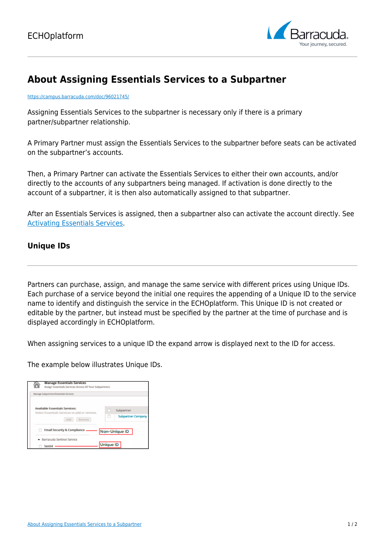

## **About Assigning Essentials Services to a Subpartner**

<https://campus.barracuda.com/doc/96021745/>

Assigning Essentials Services to the subpartner is necessary only if there is a primary partner/subpartner relationship.

A Primary Partner must assign the Essentials Services to the subpartner before seats can be activated on the subpartner's accounts.

Then, a Primary Partner can activate the Essentials Services to either their own accounts, and/or directly to the accounts of any subpartners being managed. If activation is done directly to the account of a subpartner, it is then also automatically assigned to that subpartner.

After an Essentials Services is assigned, then a subpartner also can activate the account directly. See [Activating Essentials Services](http://campus.barracuda.com/doc/71861606/).

## **Unique IDs**

Partners can purchase, assign, and manage the same service with different prices using Unique IDs. Each purchase of a service beyond the initial one requires the appending of a Unique ID to the service name to identify and distinguish the service in the ECHOplatform. This Unique ID is not created or editable by the partner, but instead must be specified by the partner at the time of purchase and is displayed accordingly in ECHOplatform.

When assigning services to a unique ID the expand arrow is displayed next to the ID for access.

The example below illustrates Unique IDs.

| <b>Manage Essentials Services</b><br>Assign Essentials Services Across All Your Subpartners<br>Manage Subgartners/Essentials Services |                                              |
|---------------------------------------------------------------------------------------------------------------------------------------|----------------------------------------------|
| Available Essentials Services:<br>Select Essentials Services to add or remove.<br>Add  <br>Remove                                     | Subpartner<br><b>Subpartner Company</b><br>o |
| <b>Email Security &amp; Compliance</b>                                                                                                | Non-Unique ID                                |
| - Barracuda Sentinel Service<br>Sen54                                                                                                 | <b>Unique ID</b>                             |